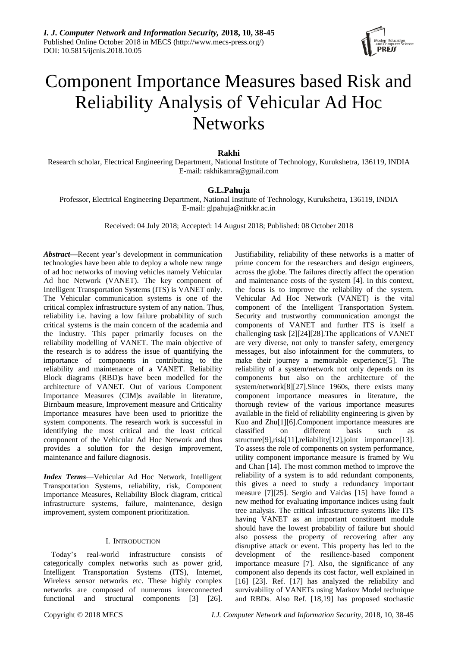

# Component Importance Measures based Risk and Reliability Analysis of Vehicular Ad Hoc **Networks**

# **Rakhi**

Research scholar, Electrical Engineering Department, National Institute of Technology, Kurukshetra, 136119, INDIA E-mail: rakhikamra@gmail.com

# **G.L.Pahuja**

Professor, Electrical Engineering Department, National Institute of Technology, Kurukshetra, 136119, INDIA E-mail: glpahuja@nitkkr.ac.in

Received: 04 July 2018; Accepted: 14 August 2018; Published: 08 October 2018

*Abstract***—**Recent year's development in communication technologies have been able to deploy a whole new range of ad hoc networks of moving vehicles namely Vehicular Ad hoc Network (VANET). The key component of Intelligent Transportation Systems (ITS) is VANET only. The Vehicular communication systems is one of the critical complex infrastructure system of any nation. Thus, reliability i.e. having a low failure probability of such critical systems is the main concern of the academia and the industry. This paper primarily focuses on the reliability modelling of VANET. The main objective of the research is to address the issue of quantifying the importance of components in contributing to the reliability and maintenance of a VANET. Reliability Block diagrams (RBD)s have been modelled for the architecture of VANET. Out of various Component Importance Measures (CIM)s available in literature, Birnbaum measure, Improvement measure and Criticality Importance measures have been used to prioritize the system components. The research work is successful in identifying the most critical and the least critical component of the Vehicular Ad Hoc Network and thus provides a solution for the design improvement, maintenance and failure diagnosis.

*Index Terms*—Vehicular Ad Hoc Network, Intelligent Transportation Systems, reliability, risk, Component Importance Measures, Reliability Block diagram, critical infrastructure systems, failure, maintenance, design improvement, system component prioritization.

## I. INTRODUCTION

Today's real-world infrastructure consists of categorically complex networks such as power grid, Intelligent Transportation Systems (ITS), Internet, Wireless sensor networks etc. These highly complex networks are composed of numerous interconnected functional and structural components [3] [26]. Justifiability, reliability of these networks is a matter of prime concern for the researchers and design engineers, across the globe. The failures directly affect the operation and maintenance costs of the system [4]. In this context, the focus is to improve the reliability of the system. Vehicular Ad Hoc Network (VANET) is the vital component of the Intelligent Transportation System. Security and trustworthy communication amongst the components of VANET and further ITS is itself a challenging task [2][24][28].The applications of VANET are very diverse, not only to transfer safety, emergency messages, but also infotainment for the commuters, to make their journey a memorable experience[5]. The reliability of a system/network not only depends on its components but also on the architecture of the system/network[8][27].Since 1960s, there exists many component importance measures in literature, the thorough review of the various importance measures available in the field of reliability engineering is given by Kuo and Zhu[1][6].Component importance measures are classified on different basis such structure[9],risk[11],reliability[12],joint importance[13]. To assess the role of components on system performance, utility component importance measure is framed by Wu and Chan [14]. The most common method to improve the reliability of a system is to add redundant components, this gives a need to study a redundancy important measure [7][25]. Sergio and Vaidas [15] have found a new method for evaluating importance indices using fault tree analysis. The critical infrastructure systems like ITS having VANET as an important constituent module should have the lowest probability of failure but should also possess the property of recovering after any disruptive attack or event. This property has led to the development of the resilience-based component importance measure [7]. Also, the significance of any component also depends its cost factor, well explained in [16] [23]. Ref. [17] has analyzed the reliability and survivability of VANETs using Markov Model technique and RBDs. Also Ref. [18,19] has proposed stochastic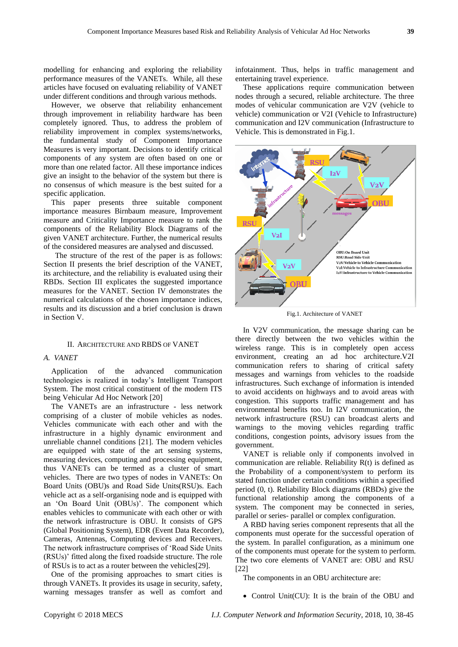modelling for enhancing and exploring the reliability performance measures of the VANETs. While, all these articles have focused on evaluating reliability of VANET under different conditions and through various methods.

However, we observe that reliability enhancement through improvement in reliability hardware has been completely ignored. Thus, to address the problem of reliability improvement in complex systems/networks, the fundamental study of Component Importance Measures is very important. Decisions to identify critical components of any system are often based on one or more than one related factor. All these importance indices give an insight to the behavior of the system but there is no consensus of which measure is the best suited for a specific application.

This paper presents three suitable component importance measures Birnbaum measure, Improvement measure and Criticality Importance measure to rank the components of the Reliability Block Diagrams of the given VANET architecture. Further, the numerical results of the considered measures are analysed and discussed.

 The structure of the rest of the paper is as follows: Section II presents the brief description of the VANET, its architecture, and the reliability is evaluated using their RBDs. Section III explicates the suggested importance measures for the VANET. Section IV demonstrates the numerical calculations of the chosen importance indices, results and its discussion and a brief conclusion is drawn in Section V.

## II. ARCHITECTURE AND RBDS OF VANET

## *A. VANET*

Application of the advanced communication technologies is realized in today's Intelligent Transport System. The most critical constituent of the modern ITS being Vehicular Ad Hoc Network [20]

The VANETs are an infrastructure - less network comprising of a cluster of mobile vehicles as nodes. Vehicles communicate with each other and with the infrastructure in a highly dynamic environment and unreliable channel conditions [21]. The modern vehicles are equipped with state of the art sensing systems, measuring devices, computing and processing equipment, thus VANETs can be termed as a cluster of smart vehicles. There are two types of nodes in VANETs: On Board Units (OBU)s and Road Side Units(RSU)s. Each vehicle act as a self-organising node and is equipped with an 'On Board Unit (OBUs)'. The component which enables vehicles to communicate with each other or with the network infrastructure is OBU. It consists of GPS (Global Positioning System), EDR (Event Data Recorder), Cameras, Antennas, Computing devices and Receivers. The network infrastructure comprises of 'Road Side Units (RSUs)' fitted along the fixed roadside structure. The role of RSUs is to act as a router between the vehicles[29].

One of the promising approaches to smart cities is through VANETs. It provides its usage in security, safety, warning messages transfer as well as comfort and infotainment. Thus, helps in traffic management and entertaining travel experience.

These applications require communication between nodes through a secured, reliable architecture. The three modes of vehicular communication are V2V (vehicle to vehicle) communication or V2I (Vehicle to Infrastructure) communication and I2V communication (Infrastructure to Vehicle. This is demonstrated in Fig.1.



Fig.1. Architecture of VANET

In V2V communication, the message sharing can be there directly between the two vehicles within the wireless range. This is in completely open access environment, creating an ad hoc architecture.V2I communication refers to sharing of critical safety messages and warnings from vehicles to the roadside infrastructures. Such exchange of information is intended to avoid accidents on highways and to avoid areas with congestion. This supports traffic management and has environmental benefits too. In I2V communication, the network infrastructure (RSU) can broadcast alerts and warnings to the moving vehicles regarding traffic conditions, congestion points, advisory issues from the government.

VANET is reliable only if components involved in communication are reliable. Reliability R(t) is defined as the Probability of a component/system to perform its stated function under certain conditions within a specified period (0, t). Reliability Block diagrams (RBDs) give the functional relationship among the components of a system. The component may be connected in series, parallel or series- parallel or complex configuration.

A RBD having series component represents that all the components must operate for the successful operation of the system. In parallel configuration, as a minimum one of the components must operate for the system to perform. The two core elements of VANET are: OBU and RSU [22]

The components in an OBU architecture are:

• Control Unit(CU): It is the brain of the OBU and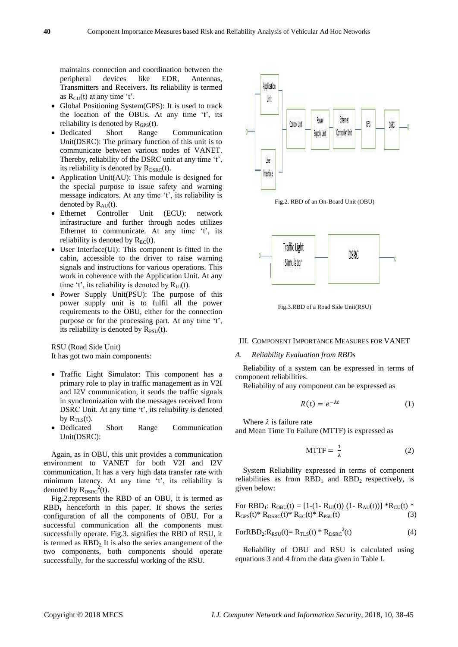maintains connection and coordination between the peripheral devices like EDR, Antennas, Transmitters and Receivers. Its reliability is termed as  $R_{CU}(t)$  at any time 't'.

- Global Positioning System(GPS): It is used to track the location of the OBUs. At any time 't', its reliability is denoted by  $R<sub>GPS</sub>(t)$ .
- Dedicated Short Range Communication Unit(DSRC): The primary function of this unit is to communicate between various nodes of VANET. Thereby, reliability of the DSRC unit at any time 't', its reliability is denoted by  $R_{DSRC}(t)$ .
- Application Unit(AU): This module is designed for the special purpose to issue safety and warning message indicators. At any time 't', its reliability is denoted by  $R_{AU}(t)$ .
- Ethernet Controller Unit (ECU): network infrastructure and further through nodes utilizes Ethernet to communicate. At any time 't', its reliability is denoted by  $R_{EC}(t)$ .
- User Interface(UI): This component is fitted in the cabin, accessible to the driver to raise warning signals and instructions for various operations. This work in coherence with the Application Unit. At any time 't', its reliability is denoted by  $R_{UI}(t)$ .
- Power Supply Unit(PSU): The purpose of this power supply unit is to fulfil all the power requirements to the OBU, either for the connection purpose or for the processing part. At any time 't', its reliability is denoted by  $R_{PSU}(t)$ .

RSU (Road Side Unit) It has got two main components:

- Traffic Light Simulator: This component has a primary role to play in traffic management as in V2I and I2V communication, it sends the traffic signals in synchronization with the messages received from DSRC Unit. At any time 't', its reliability is denoted by  $R_{TLS}(t)$ .
- Dedicated Short Range Communication Unit(DSRC):

Again, as in OBU, this unit provides a communication environment to VANET for both V2I and I2V communication. It has a very high data transfer rate with minimum latency. At any time 't', its reliability is denoted by  $R_{DSRC}^{2}(t)$ .

Fig.2.represents the RBD of an OBU, it is termed as  $RBD_1$  henceforth in this paper. It shows the series configuration of all the components of OBU. For a successful communication all the components must successfully operate. Fig.3. signifies the RBD of RSU, it is termed as  $RBD<sub>2</sub>$  It is also the series arrangement of the two components, both components should operate successfully, for the successful working of the RSU.







Fig.3.RBD of a Road Side Unit(RSU)

## III. COMPONENT IMPORTANCE MEASURES FOR VANET

#### *A. Reliability Evaluation from RBDs*

Reliability of a system can be expressed in terms of component reliabilities.

Reliability of any component can be expressed as

$$
R(t) = e^{-\lambda t} \tag{1}
$$

Where  $\lambda$  is failure rate and Mean Time To Failure (MTTF) is expressed as

$$
MTTF = \frac{1}{\lambda} \tag{2}
$$

System Reliability expressed in terms of component reliabilities as from  $RBD_1$  and  $RBD_2$  respectively, is given below:

For RBD<sub>1</sub>:  $R_{OBU}(t) = [1-(1-R_{UI}(t)) (1-R_{AU}(t))] * R_{CU}(t)$  \*  $R_{GPS}(t)* R_{DSRC}(t)* R_{EC}(t)* R_{PSU}(t)$  (3)

$$
For RBD2: RRSU(t) = RTLS(t) * RDSRC2(t)
$$
 (4)

Reliability of OBU and RSU is calculated using equations 3 and 4 from the data given in Table I.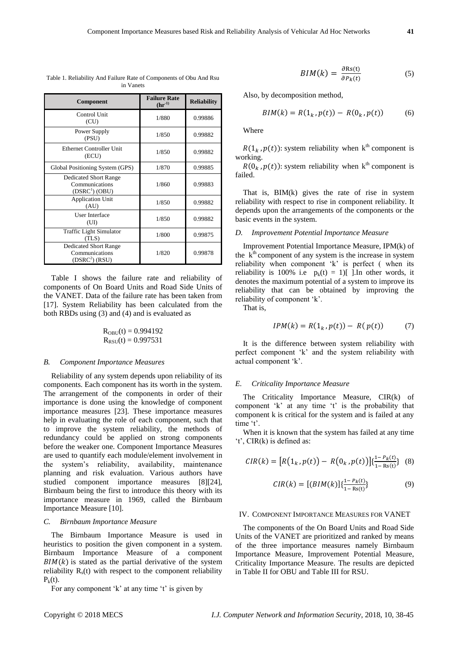| Component                                                                    | <b>Failure Rate</b><br>$(hr^{-1})$ | <b>Reliability</b> |
|------------------------------------------------------------------------------|------------------------------------|--------------------|
| Control Unit<br>(CU)                                                         | 1/880                              | 0.99886            |
| Power Supply<br>(PSU)                                                        | 1/850                              | 0.99882            |
| <b>Ethernet Controller Unit</b><br>(ECU)                                     | 1/850                              | 0.99882            |
| Global Positioning System (GPS)                                              | 1/870                              | 0.99885            |
| <b>Dedicated Short Range</b><br>Communications<br>(DSRC <sup>1</sup> ) (OBU) | 1/860                              | 0.99883            |
| <b>Application Unit</b><br>(AU)                                              | 1/850                              | 0.99882            |
| <b>User Interface</b><br>(UI)                                                | 1/850                              | 0.99882            |
| <b>Traffic Light Simulator</b><br>(TLS)                                      | 1/800                              | 0.99875            |
| <b>Dedicated Short Range</b><br>Communications<br>(DSRC <sup>2</sup> ) (RSU) | 1/820                              | 0.99878            |

Table 1. Reliability And Failure Rate of Components of Obu And Rsu in Vanets

Table I shows the failure rate and reliability of components of On Board Units and Road Side Units of the VANET. Data of the failure rate has been taken from [17]. System Reliability has been calculated from the both RBDs using (3) and (4) and is evaluated as

$$
R_{OBU}(t) = 0.994192
$$
  

$$
R_{RSU}(t) = 0.997531
$$

#### *B. Component Importance Measures*

Reliability of any system depends upon reliability of its components. Each component has its worth in the system. The arrangement of the components in order of their importance is done using the knowledge of component importance measures [23]. These importance measures help in evaluating the role of each component, such that to improve the system reliability, the methods of redundancy could be applied on strong components before the weaker one. Component Importance Measures are used to quantify each module/element involvement in the system's reliability, availability, maintenance planning and risk evaluation. Various authors have studied component importance measures [8][24], Birnbaum being the first to introduce this theory with its importance measure in 1969, called the Birnbaum Importance Measure [10].

## *C. Birnbaum Importance Measure*

The Birnbaum Importance Measure is used in heuristics to position the given component in a system. Birnbaum Importance Measure of a component  $BIM(k)$  is stated as the partial derivative of the system reliability  $R<sub>s</sub>(t)$  with respect to the component reliability  $P_k(t)$ .

For any component 'k' at any time 't' is given by

$$
BIM(k) = \frac{\partial \text{Rs}(t)}{\partial P_k(t)}\tag{5}
$$

Also, by decomposition method,

$$
BIM(k) = R(1k, p(t)) - R(0k, p(t))
$$
 (6)

Where

 $R(1_k, p(t))$ : system reliability when k<sup>th</sup> component is working.

 $R(0_k, p(t))$ : system reliability when k<sup>th</sup> component is failed.

That is, BIM(k) gives the rate of rise in system reliability with respect to rise in component reliability. It depends upon the arrangements of the components or the basic events in the system.

#### *D. Improvement Potential Importance Measure*

Improvement Potential Importance Measure, IPM(k) of the  $k<sup>th</sup>$  component of any system is the increase in system reliability when component 'k' is perfect ( when its reliability is 100% i.e  $p_k(t) = 1$ ][ ]. In other words, it denotes the maximum potential of a system to improve its reliability that can be obtained by improving the reliability of component 'k'.

That is,

$$
IPM(k) = R(1_k, p(t)) - R(p(t))
$$
 (7)

It is the difference between system reliability with perfect component 'k' and the system reliability with actual component 'k'.

#### *E. Criticality Importance Measure*

The Criticality Importance Measure, CIR(k) of component 'k' at any time 't' is the probability that component k is critical for the system and is failed at any time 't'.

When it is known that the system has failed at any time 't', CIR(k) is defined as:

$$
CIR(k) = [R(1_k, p(t)) - R(0_k, p(t))] \{ \frac{1 - P_k(t)}{1 - R_S(t)} \} (8)
$$

$$
CIR(k) = [(BIM(k)]\{\frac{1 - P_k(t)}{1 - \text{Rs}(t)}\}
$$
(9)

# IV. COMPONENT IMPORTANCE MEASURES FOR VANET

The components of the On Board Units and Road Side Units of the VANET are prioritized and ranked by means of the three importance measures namely Birnbaum Importance Measure, Improvement Potential Measure, Criticality Importance Measure. The results are depicted in Table II for OBU and Table III for RSU.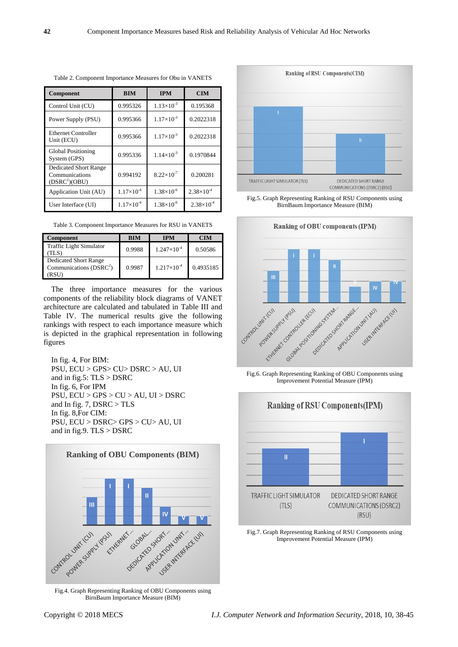| Component                                                                   | <b>BIM</b>          | <b>IPM</b>            | <b>CIM</b>            |
|-----------------------------------------------------------------------------|---------------------|-----------------------|-----------------------|
| Control Unit (CU)                                                           | 0.995326            | $1.13 \times 10^{-3}$ | 0.195368              |
| Power Supply (PSU)                                                          | 0.995366            | $1.17 \times 10^{-3}$ | 0.2022318             |
| <b>Ethernet Controller</b><br>Unit (ECU)                                    | 0.995366            | $1.17 \times 10^{-3}$ | 0.2022318             |
| <b>Global Positioning</b><br>System (GPS)                                   | 0.995336            | $1.14 \times 10^{-3}$ | 0.1970844             |
| <b>Dedicated Short Range</b><br>Communications<br>(DSRC <sup>1</sup> )(OBU) | 0.994192            | $8.22 \times 10^{-7}$ | 0.200281              |
| Application Unit (AU)                                                       | $1.17\times10^{-4}$ | $1.38 \times 10^{-6}$ | $2.38 \times 10^{-4}$ |
| User Interface (UI)                                                         | $1.17\times10^{-4}$ | $1.38\times10^{-6}$   | $2.38 \times 10^{-4}$ |

Table 2. Component Importance Measures for Obu in VANETS

Table 3. Component Importance Measures for RSU in VANETS

| Component                                                  | <b>BIM</b> | <b>IPM</b>             | <b>CIM</b> |
|------------------------------------------------------------|------------|------------------------|------------|
| <b>Traffic Light Simulator</b><br>TLS)                     | 0.9988     | $1.247 \times 10^{-4}$ | 0.50586    |
| Dedicated Short Range<br>Communications $(DSRC^2)$<br>RSU` | 0.9987     | $1.217\times10^{-4}$   | 0.4935185  |

The three importance measures for the various components of the reliability block diagrams of VANET architecture are calculated and tabulated in Table III and Table IV. The numerical results give the following rankings with respect to each importance measure which is depicted in the graphical representation in following figures

In fig. 4, For BIM: PSU, ECU > GPS> CU> DSRC > AU, UI and in fig.5:  $TLS > DSRC$ In fig. 6, For IPM PSU, ECU > GPS > CU > AU, UI > DSRC and In fig. 7, DSRC > TLS In fig. 8,For CIM: PSU, ECU > DSRC> GPS > CU> AU, UI and in fig.9.  $TLS > DSRC$ 



Fig.4. Graph Representing Ranking of OBU Components using BirnBaum Importance Measure (BIM)



Fig.5. Graph Representing Ranking of RSU Components using BirnBaum Importance Measure (BIM)



Fig.6. Graph Representing Ranking of OBU Components using Improvement Potential Measure (IPM)



Fig.7. Graph Representing Ranking of RSU Components using Improvement Potential Measure (IPM)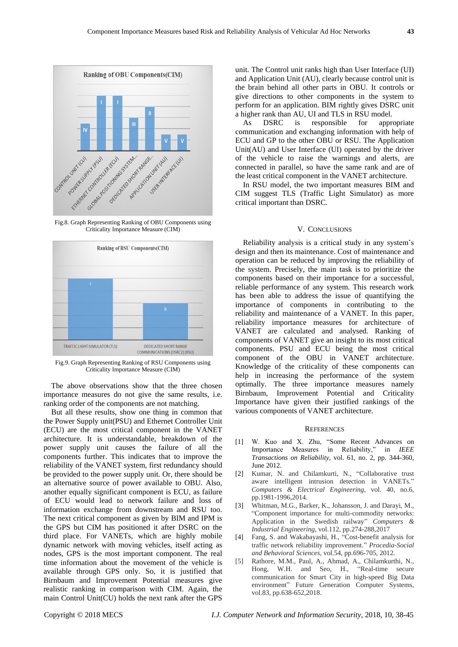

Fig.8. Graph Representing Ranking of OBU Components using Criticality Importance Measure (CIM)



Fig.9. Graph Representing Ranking of RSU Components using Criticality Importance Measure (CIM)

The above observations show that the three chosen importance measures do not give the same results, i.e. ranking order of the components are not matching.

But all these results, show one thing in common that the Power Supply unit(PSU) and Ethernet Controller Unit (ECU) are the most critical component in the VANET architecture. It is understandable, breakdown of the power supply unit causes the failure of all the components further. This indicates that to improve the reliability of the VANET system, first redundancy should be provided to the power supply unit. Or, there should be an alternative source of power available to OBU. Also, another equally significant component is ECU, as failure of ECU would lead to network failure and loss of information exchange from downstream and RSU too. The next critical component as given by BIM and IPM is the GPS but CIM has positioned it after DSRC on the third place. For VANETs, which are highly mobile dynamic network with moving vehicles, itself acting as nodes, GPS is the most important component. The real time information about the movement of the vehicle is available through GPS only. So, it is justified that Birnbaum and Improvement Potential measures give realistic ranking in comparison with CIM. Again, the main Control Unit(CU) holds the next rank after the GPS

unit. The Control unit ranks high than User Interface (UI) and Application Unit (AU), clearly because control unit is the brain behind all other parts in OBU. It controls or give directions to other components in the system to perform for an application. BIM rightly gives DSRC unit a higher rank than AU, UI and TLS in RSU model.

As DSRC is responsible for appropriate communication and exchanging information with help of ECU and GP to the other OBU or RSU. The Application Unit(AU) and User Interface (UI) operated by the driver of the vehicle to raise the warnings and alerts, are connected in parallel, so have the same rank and are of the least critical component in the VANET architecture.

In RSU model, the two important measures BIM and CIM suggest TLS (Traffic Light Simulator) as more critical important than DSRC.

#### V. CONCLUSIONS

Reliability analysis is a critical study in any system's design and then its maintenance. Cost of maintenance and operation can be reduced by improving the reliability of the system. Precisely, the main task is to prioritize the components based on their importance for a successful, reliable performance of any system. This research work has been able to address the issue of quantifying the importance of components in contributing to the reliability and maintenance of a VANET. In this paper, reliability importance measures for architecture of VANET are calculated and analysed. Ranking of components of VANET give an insight to its most critical components. PSU and ECU being the most critical component of the OBU in VANET architecture. Knowledge of the criticality of these components can help in increasing the performance of the system optimally. The three importance measures namely Birnbaum, Improvement Potential and Criticality Importance have given their justified rankings of the various components of VANET architecture.

## **REFERENCES**

- [1] W. Kuo and X. Zhu, "Some Recent Advances on Importance Measures in Reliability," in *IEEE Transactions on Reliability*, vol. 61, no. 2, pp. 344-360, June 2012.
- [2] Kumar, N. and Chilamkurti, N., "Collaborative trust aware intelligent intrusion detection in VANETs." *Computers & Electrical Engineering*, vol. 40, no.6, pp.1981-1996,2014.
- [3] Whitman, M.G., Barker, K., Johansson, J. and Darayi, M., "Component importance for multi-commodity networks: Application in the Swedish railway" *Computers & Industrial Engineering*, vol.112, pp.274-288,2017
- [4] Fang, S. and Wakabayashi, H., "Cost-benefit analysis for traffic network reliability improvement." *Procedia-Social and Behavioral Sciences*, vol.54, pp.696-705, 2012.
- [5] Rathore, M.M., Paul, A., Ahmad, A., Chilamkurthi, N., Hong, W.H. and Seo, H., "Real-time secure communication for Smart City in high-speed Big Data environment" Future Generation Computer Systems, vol.83, pp.638-652,2018.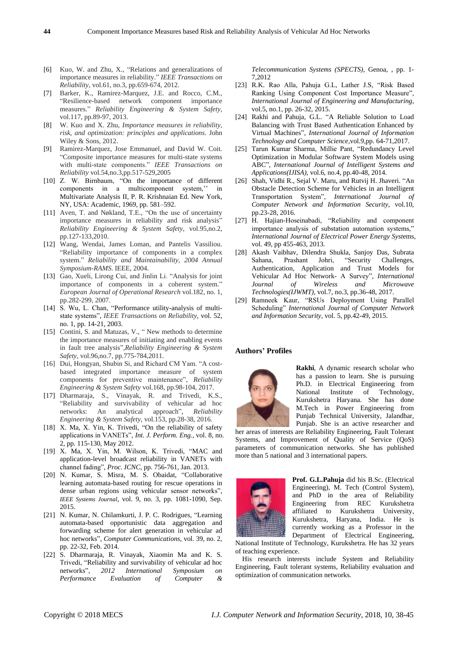- [6] Kuo, W. and Zhu, X., "Relations and generalizations of importance measures in reliability." *IEEE Transactions on Reliability*, vol.61, no.3, pp.659-674, 2012.
- [7] Barker, K., Ramirez-Marquez, J.E. and Rocco, C.M., "Resilience-based network component importance measures." *Reliability Engineering & System Safety*, vol.117, pp.89-97, 2013.
- [8] W. Kuo and X. Zhu, *Importance measures in reliability, risk, and optimization: principles and applications*. John Wiley & Sons, 2012.
- [9] Ramirez-Marquez, Jose Emmanuel, and David W. Coit. "Composite importance measures for multi-state systems with multi-state components." *IEEE Transactions on Reliability* vol.54,no.3,pp.517-529,2005
- [10] Z. W. Birnbaum, "On the importance of different components in a multicomponent system,'' in Multivariate Analysis II, P. R. Krishnaian Ed. New York, NY, USA: Academic, 1969, pp. 581–592.
- [11] Aven, T. and Nøkland, T.E., "On the use of uncertainty importance measures in reliability and risk analysis" *Reliability Engineering & System Safety*, vol.95,no.2, pp.127-133,2010.
- [12] Wang, Wendai, James Loman, and Pantelis Vassiliou. "Reliability importance of components in a complex system." *Reliability and Maintainability, 2004 Annual Symposium-RAMS*. IEEE, 2004.
- [13] Gao, Xueli, Lirong Cui, and Jinlin Li. "Analysis for joint importance of components in a coherent system." *European Journal of Operational Research* vol.182, no. 1, pp.282-299, 2007.
- [14] S. Wu, L. Chan, "Performance utility-analysis of multistate systems", *IEEE Transactions on Reliability,* vol. 52, no. 1, pp. 14-21, 2003.
- [15] Contini, S. and Matuzas, V., "New methods to determine the importance measures of initiating and enabling events in fault tree analysis",*Reliability Engineering & System Safety*, vol.96,no.7, pp.775-784,2011.
- [16] Dui, Hongyan, Shubin Si, and Richard CM Yam. "A costbased integrated importance measure of system components for preventive maintenance", *Reliability Engineering & System Safety* vol.168, pp.98-104, 2017.
- [17] Dharmaraja, S., Vinayak, R. and Trivedi, K.S., "Reliability and survivability of vehicular ad hoc networks: An analytical approach", *Reliability Engineering & System Safety*, vol.153, pp.28-38, 2016.
- [18] X. Ma, X. Yin, K. Trivedi, "On the reliability of safety applications in VANETs", *Int. J. Perform. Eng.*, vol. 8, no. 2, pp. 115-130, May 2012.
- [19] X. Ma, X. Yin, M. Wilson, K. Trivedi, "MAC and application-level broadcast reliability in VANETs with channel fading", *Proc. ICNC*, pp. 756-761, Jan. 2013.
- [20] N. Kumar, S. Misra, M. S. Obaidat, "Collaborative learning automata-based routing for rescue operations in dense urban regions using vehicular sensor networks", *IEEE Systems Journal*, vol. 9, no. 3, pp. 1081-1090, Sep. 2015.
- [21] N. Kumar, N. Chilamkurti, J. P. C. Rodrigues, "Learning automata-based opportunistic data aggregation and forwarding scheme for alert generation in vehicular ad hoc networks", *Computer Communications*, vol. 39, no. 2, pp. 22-32, Feb. 2014.
- [22] S. Dharmaraja, R. Vinayak, Xiaomin Ma and K. S. Trivedi, "Reliability and survivability of vehicular ad hoc networks", *2012 International Symposium on Performance Evaluation of Computer &*

*Telecommunication Systems (SPECTS)*, Genoa, , pp. 1- 7,2012

- [23] R.K. Rao Alla, Pahuja G.L, Lather J.S, "Risk Based Ranking Using Component Cost Importance Measure", *International Journal of Engineering and Manufacturing*, vol.5, no.1, pp. 26-32, 2015.
- [24] Rakhi and Pahuja, G.L. "A Reliable Solution to Load Balancing with Trust Based Authentication Enhanced by Virtual Machines", *International Journal of Information Technology and Computer Science*,vol.9,pp. 64-71,2017.
- [25] Tarun Kumar Sharma, Millie Pant, "Redundancy Level Optimization in Modular Software System Models using ABC", *International Journal of Intelligent Systems and Applications(IJISA)*, vol.6, no.4, pp.40-48, 2014.
- [26] Shah, Vidhi R., Sejal V. Maru, and Rutvij H. Jhaveri. "An Obstacle Detection Scheme for Vehicles in an Intelligent Transportation System", *International Journal of Computer Network and Information Security,* vol.10, pp.23-28, 2016.
- [27] H. Hajian-Hoseinabadi, "Reliability and component importance analysis of substation automation systems," *International Journal of Electrical Power Energy Syst*ems, vol. 49, pp 455-463, 2013.
- [28] Akash Vaibhav, Dilendra Shukla, Sanjoy Das, Subrata Sahana, Prashant Johri, "Security Challenges, Authentication, Application and Trust Models for Vehicular Ad Hoc Network- A Survey", *International Journal of Wireless and Microwave Technologies(IJWMT)*, vol.7, no.3, pp.36-48, 2017.
- [29] Ramneek Kaur, "RSUs Deployment Using Parallel Scheduling" *International Journal of Computer Network and Information Security*, vol. 5, pp.42-49, 2015.

#### **Authors' Profiles**



**Rakhi**, A dynamic research scholar who has a passion to learn. She is pursuing Ph.D. in Electrical Engineering from National Institute of Technology, Kurukshetra Haryana. She has done M.Tech in Power Engineering from Punjab Technical University, Jalandhar, Punjab. She is an active researcher and

her areas of interests are Reliability Engineering, Fault Tolerant Systems, and Improvement of Quality of Service (QoS) parameters of communication networks. She has published more than 5 national and 3 international papers.



**Prof. G.L.Pahuja** did his B.Sc. (Electrical Engineering), M. Tech (Control System), and PhD in the area of Reliability Engineering from REC Kurukshetra affiliated to Kurukshetra University, Kurukshetra, Haryana, India. He is currently working as a Professor in the Department of Electrical Engineering,

National Institute of Technology, Kurukshetra. He has 32 years of teaching experience.

His research interests include System and Reliability Engineering, Fault tolerant systems, Reliability evaluation and optimization of communication networks.